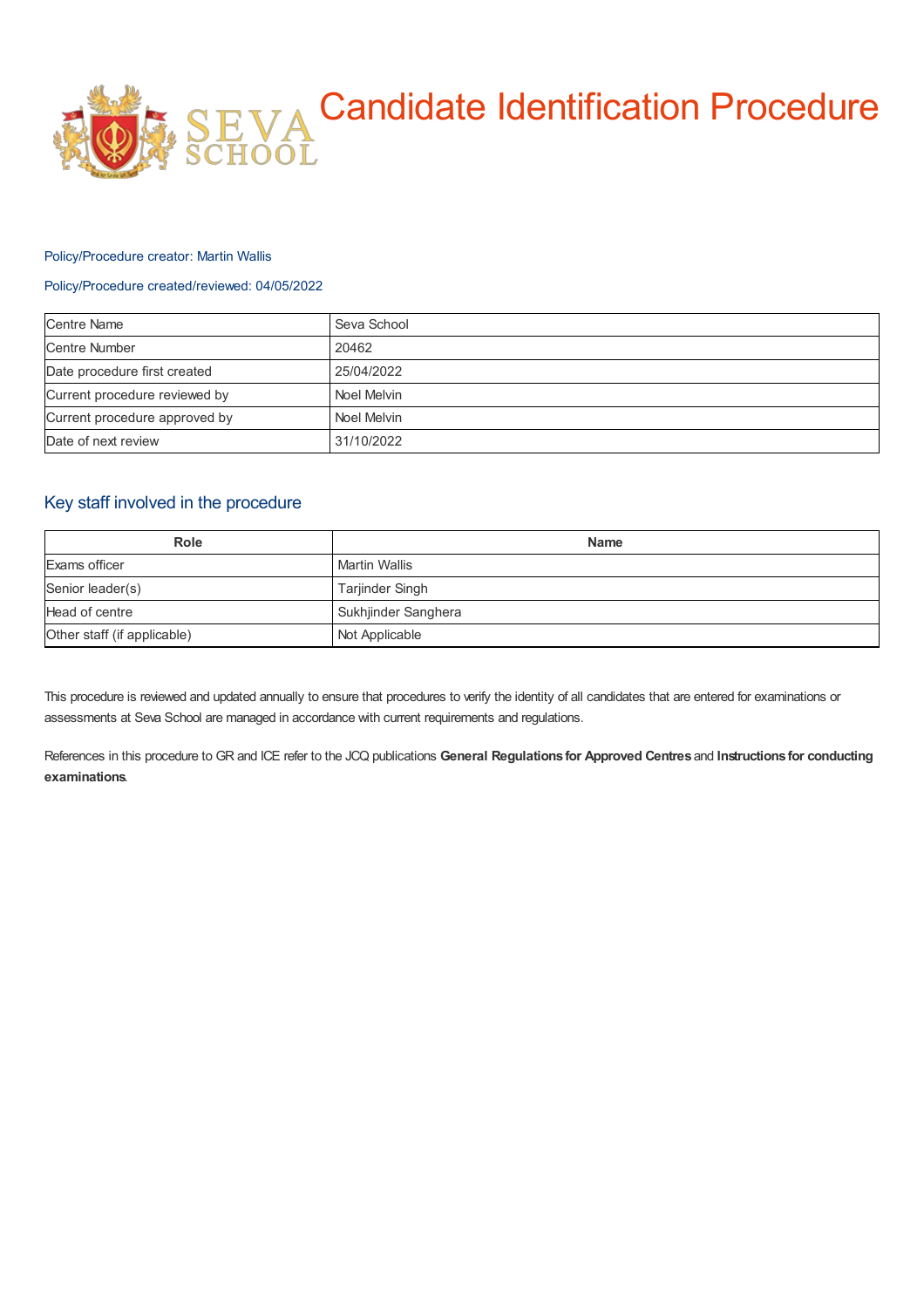

#### Policy/Procedure creator: Martin Wallis

### Policy/Procedure created/reviewed: 04/05/2022

| <b>Centre Name</b>            | Seva School |
|-------------------------------|-------------|
| <b>Centre Number</b>          | 20462       |
| Date procedure first created  | 25/04/2022  |
| Current procedure reviewed by | Noel Melvin |
| Current procedure approved by | Noel Melvin |
| Date of next review           | 31/10/2022  |

## Key staff involved in the procedure

| <b>Role</b>                 | <b>Name</b>          |
|-----------------------------|----------------------|
| Exams officer               | <b>Martin Wallis</b> |
| Senior leader(s)            | Tarjinder Singh      |
| Head of centre              | Sukhjinder Sanghera  |
| Other staff (if applicable) | Not Applicable       |

This procedure is reviewed and updated annually to ensure that procedures to verify the identity of all candidates that are entered for examinations or assessments at Seva School are managed in accordance with current requirements and regulations.

References in this procedure to GR and ICE refer to the JCQ publications **General Regulations for Approved Centres** and **Instructions for conducting examinations**.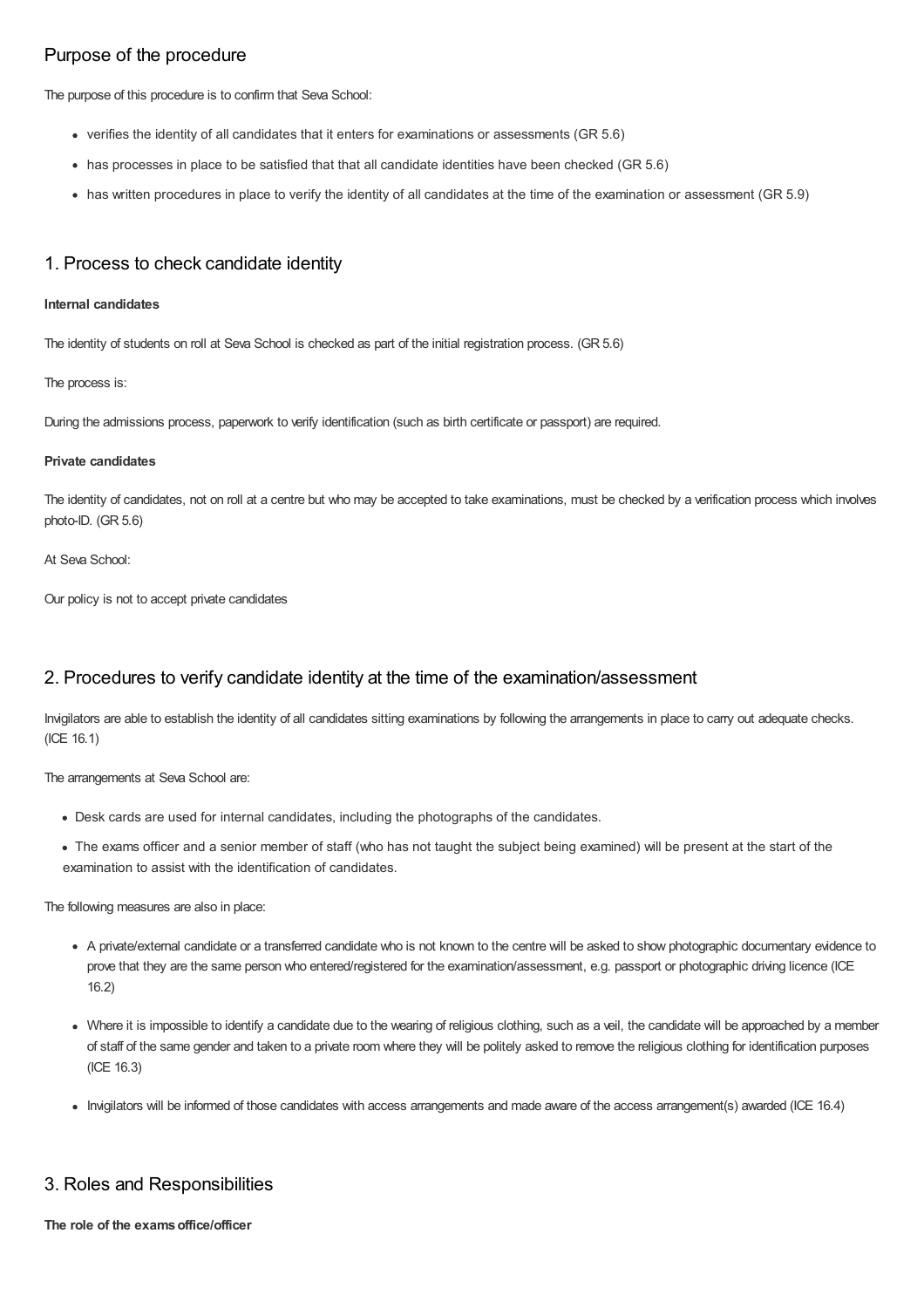# Purpose of the procedure

The purpose of this procedure is to confirm that Seva School:

- verifies the identity of all candidates that it enters for examinations or assessments (GR 5.6)
- has processes in place to be satisfied that that all candidate identities have been checked (GR 5.6)
- has written procedures in place to verify the identity of all candidates at the time of the examination or assessment (GR 5.9)

## 1. Process to check candidate identity

#### **Internal candidates**

The identity of students on roll at Seva School is checked as part of the initial registration process. (GR 5.6)

The process is:

During the admissions process, paperwork to verify identification (such as birth certificate or passport) are required.

#### **Private candidates**

The identity of candidates, not on roll at a centre but who may be accepted to take examinations, must be checked by a verification process which involves photo-ID. (GR 5.6)

### At Seva School:

Our policy is not to accept private candidates

### 2. Procedures to verify candidate identity at the time of the examination/assessment

Invigilators are able to establish the identity of all candidates sitting examinations by following the arrangements in place to carry out adequate checks. (ICE 16.1)

The arrangements at Seva School are:

- Desk cards are used for internal candidates, including the photographs of the candidates.
- The exams officer and a senior member of staff (who has not taught the subject being examined) will be present at the start of the examination to assist with the identification of candidates.

The following measures are also in place:

- A private/external candidate or a transferred candidate who is not known to the centre will be asked to show photographic documentary evidence to prove that they are the same person who entered/registered for the examination/assessment, e.g. passport or photographic driving licence (ICE 16.2)
- Where it is impossible to identify a candidate due to the wearing of religious clothing, such as a veil, the candidate will be approached by a member of staff of the same gender and taken to a private room where they will be politely asked to remove the religious clothing for identification purposes (ICE 16.3)
- Invigilators will be informed of those candidates with access arrangements and made aware of the access arrangement(s) awarded (ICE 16.4)

## 3. Roles and Responsibilities

**The role of the examsoffice/officer**